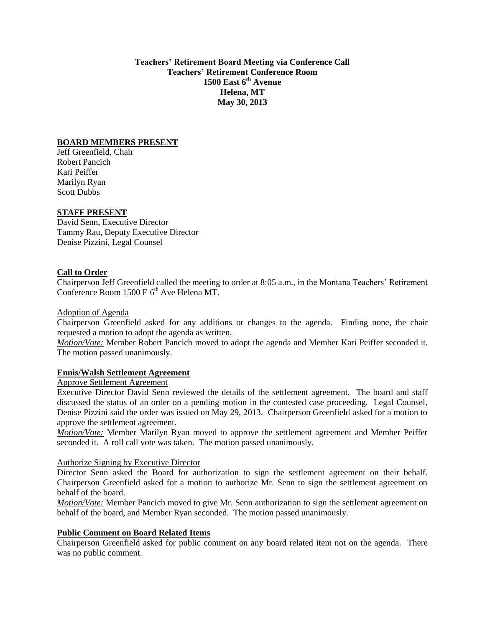**Teachers' Retirement Board Meeting via Conference Call Teachers' Retirement Conference Room 1500 East 6th Avenue Helena, MT May 30, 2013**

# **BOARD MEMBERS PRESENT**

Jeff Greenfield, Chair Robert Pancich Kari Peiffer Marilyn Ryan Scott Dubbs

## **STAFF PRESENT**

David Senn, Executive Director Tammy Rau, Deputy Executive Director Denise Pizzini, Legal Counsel

### **Call to Order**

Chairperson Jeff Greenfield called the meeting to order at 8:05 a.m., in the Montana Teachers' Retirement Conference Room 1500 E  $6<sup>th</sup>$  Ave Helena MT.

Adoption of Agenda

Chairperson Greenfield asked for any additions or changes to the agenda. Finding none, the chair requested a motion to adopt the agenda as written.

*Motion/Vote:* Member Robert Pancich moved to adopt the agenda and Member Kari Peiffer seconded it. The motion passed unanimously.

#### **Ennis/Walsh Settlement Agreement**

### Approve Settlement Agreement

Executive Director David Senn reviewed the details of the settlement agreement. The board and staff discussed the status of an order on a pending motion in the contested case proceeding. Legal Counsel, Denise Pizzini said the order was issued on May 29, 2013. Chairperson Greenfield asked for a motion to approve the settlement agreement.

*Motion/Vote:* Member Marilyn Ryan moved to approve the settlement agreement and Member Peiffer seconded it. A roll call vote was taken. The motion passed unanimously.

#### Authorize Signing by Executive Director

Director Senn asked the Board for authorization to sign the settlement agreement on their behalf. Chairperson Greenfield asked for a motion to authorize Mr. Senn to sign the settlement agreement on behalf of the board.

*Motion/Vote:* Member Pancich moved to give Mr. Senn authorization to sign the settlement agreement on behalf of the board, and Member Ryan seconded. The motion passed unanimously.

## **Public Comment on Board Related Items**

Chairperson Greenfield asked for public comment on any board related item not on the agenda. There was no public comment.